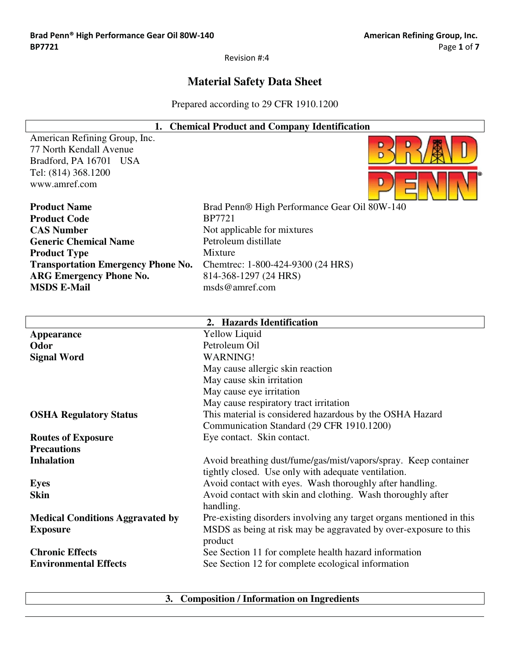$\overline{\phantom{a}}$ 

Revision #:4

# **Material Safety Data Sheet**

Prepared according to 29 CFR 1910.1200

|                                           | 1. Chemical Product and Company Identification                       |
|-------------------------------------------|----------------------------------------------------------------------|
| American Refining Group, Inc.             | D                                                                    |
| 77 North Kendall Avenue                   |                                                                      |
| Bradford, PA 16701<br>USA                 |                                                                      |
| Tel: (814) 368.1200                       |                                                                      |
| www.amref.com                             |                                                                      |
| <b>Product Name</b>                       | Brad Penn® High Performance Gear Oil 80W-140                         |
| <b>Product Code</b>                       | <b>BP7721</b>                                                        |
| <b>CAS Number</b>                         | Not applicable for mixtures                                          |
| <b>Generic Chemical Name</b>              | Petroleum distillate                                                 |
| <b>Product Type</b>                       | Mixture                                                              |
| <b>Transportation Emergency Phone No.</b> | Chemtrec: 1-800-424-9300 (24 HRS)                                    |
| <b>ARG Emergency Phone No.</b>            | 814-368-1297 (24 HRS)                                                |
| <b>MSDS E-Mail</b>                        | msds@amref.com                                                       |
|                                           |                                                                      |
|                                           |                                                                      |
|                                           | 2. Hazards Identification                                            |
| <b>Appearance</b>                         | <b>Yellow Liquid</b>                                                 |
| Odor                                      | Petroleum Oil                                                        |
| <b>Signal Word</b>                        | <b>WARNING!</b>                                                      |
|                                           | May cause allergic skin reaction                                     |
|                                           | May cause skin irritation                                            |
|                                           | May cause eye irritation                                             |
|                                           | May cause respiratory tract irritation                               |
| <b>OSHA Regulatory Status</b>             | This material is considered hazardous by the OSHA Hazard             |
|                                           | Communication Standard (29 CFR 1910.1200)                            |
| <b>Routes of Exposure</b>                 | Eye contact. Skin contact.                                           |
| <b>Precautions</b>                        |                                                                      |
| <b>Inhalation</b>                         | Avoid breathing dust/fume/gas/mist/vapors/spray. Keep container      |
|                                           | tightly closed. Use only with adequate ventilation.                  |
| <b>Eyes</b>                               | Avoid contact with eyes. Wash thoroughly after handling.             |
| <b>Skin</b>                               | Avoid contact with skin and clothing. Wash thoroughly after          |
|                                           | handling.                                                            |
| <b>Medical Conditions Aggravated by</b>   | Pre-existing disorders involving any target organs mentioned in this |
| <b>Exposure</b>                           | MSDS as being at risk may be aggravated by over-exposure to this     |
|                                           | product                                                              |
| <b>Chronic Effects</b>                    | See Section 11 for complete health hazard information                |
| <b>Environmental Effects</b>              | See Section 12 for complete ecological information                   |
|                                           |                                                                      |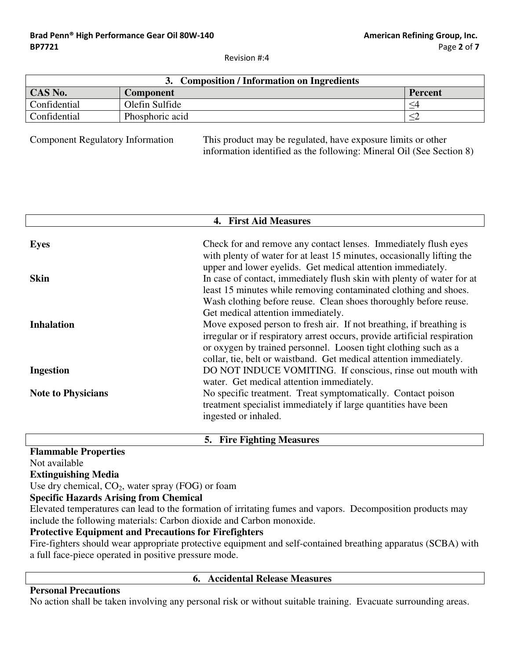| 3. Composition / Information on Ingredients |                 |             |
|---------------------------------------------|-----------------|-------------|
| CAS No.                                     | Component       | Percent     |
| Confidential                                | Olefin Sulfide  | $\leq\!\!4$ |
| Confidential                                | Phosphoric acid |             |

**Component Regulatory Information** 

This product may be regulated, have exposure limits or other information identified as the following: Mineral Oil (See Section 8)

| 4. First Aid Measures     |                                                                                                                                                                                                                                                                                                                               |  |
|---------------------------|-------------------------------------------------------------------------------------------------------------------------------------------------------------------------------------------------------------------------------------------------------------------------------------------------------------------------------|--|
| <b>Eyes</b>               | Check for and remove any contact lenses. Immediately flush eyes<br>with plenty of water for at least 15 minutes, occasionally lifting the                                                                                                                                                                                     |  |
| <b>Skin</b>               | upper and lower eyelids. Get medical attention immediately.<br>In case of contact, immediately flush skin with plenty of water for at<br>least 15 minutes while removing contaminated clothing and shoes.                                                                                                                     |  |
| <b>Inhalation</b>         | Wash clothing before reuse. Clean shoes thoroughly before reuse.<br>Get medical attention immediately.<br>Move exposed person to fresh air. If not breathing, if breathing is<br>irregular or if respiratory arrest occurs, provide artificial respiration<br>or oxygen by trained personnel. Loosen tight clothing such as a |  |
| <b>Ingestion</b>          | collar, tie, belt or waistband. Get medical attention immediately.<br>DO NOT INDUCE VOMITING. If conscious, rinse out mouth with<br>water. Get medical attention immediately.                                                                                                                                                 |  |
| <b>Note to Physicians</b> | No specific treatment. Treat symptomatically. Contact poison<br>treatment specialist immediately if large quantities have been<br>ingested or inhaled.                                                                                                                                                                        |  |

**Flammable Properties** 

Not available

**Extinguishing Media** 

Use dry chemical,  $CO<sub>2</sub>$ , water spray (FOG) or foam

#### **Specific Hazards Arising from Chemical**

Elevated temperatures can lead to the formation of irritating fumes and vapors. Decomposition products may include the following materials: Carbon dioxide and Carbon monoxide.

5. Fire Fighting Measures

#### **Protective Equipment and Precautions for Firefighters**

Fire-fighters should wear appropriate protective equipment and self-contained breathing apparatus (SCBA) with a full face-piece operated in positive pressure mode.

# **Personal Precautions**

#### 6. Accidental Release Measures

No action shall be taken involving any personal risk or without suitable training. Evacuate surrounding areas.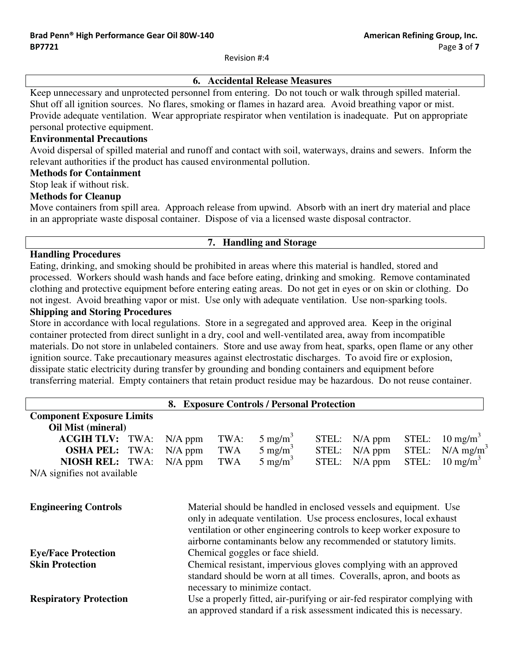# **6. Accidental Release Measures**

Keep unnecessary and unprotected personnel from entering. Do not touch or walk through spilled material. Shut off all ignition sources. No flares, smoking or flames in hazard area. Avoid breathing vapor or mist. Provide adequate ventilation. Wear appropriate respirator when ventilation is inadequate. Put on appropriate personal protective equipment.

## **Environmental Precautions**

Avoid dispersal of spilled material and runoff and contact with soil, waterways, drains and sewers. Inform the relevant authorities if the product has caused environmental pollution.

#### **Methods for Containment**

Stop leak if without risk.

#### **Methods for Cleanup**

Move containers from spill area. Approach release from upwind. Absorb with an inert dry material and place in an appropriate waste disposal container. Dispose of via a licensed waste disposal contractor.

## 7. Handling and Storage

#### **Handling Procedures**

Eating, drinking, and smoking should be prohibited in areas where this material is handled, stored and processed. Workers should wash hands and face before eating, drinking and smoking. Remove contaminated clothing and protective equipment before entering eating areas. Do not get in eyes or on skin or clothing. Do not ingest. Avoid breathing vapor or mist. Use only with adequate ventilation. Use non-sparking tools.

# **Shipping and Storing Procedures**

Store in accordance with local regulations. Store in a segregated and approved area. Keep in the original container protected from direct sunlight in a dry, cool and well-ventilated area, away from incompatible materials. Do not store in unlabeled containers. Store and use away from heat, sparks, open flame or any other ignition source. Take precautionary measures against electrostatic discharges. To avoid fire or explosion, dissipate static electricity during transfer by grounding and bonding containers and equipment before transferring material. Empty containers that retain product residue may be hazardous. Do not reuse container.

|                                                                |      |                                                                                                                                                                            |            | 8. Exposure Controls / Personal Protection                                                                                                                                                                                                                                           |       |           |       |                         |
|----------------------------------------------------------------|------|----------------------------------------------------------------------------------------------------------------------------------------------------------------------------|------------|--------------------------------------------------------------------------------------------------------------------------------------------------------------------------------------------------------------------------------------------------------------------------------------|-------|-----------|-------|-------------------------|
| <b>Component Exposure Limits</b>                               |      |                                                                                                                                                                            |            |                                                                                                                                                                                                                                                                                      |       |           |       |                         |
| Oil Mist (mineral)                                             |      |                                                                                                                                                                            |            |                                                                                                                                                                                                                                                                                      |       |           |       |                         |
| <b>ACGIH TLV:</b>                                              | TWA: | $N/A$ ppm                                                                                                                                                                  | TWA:       | $5 \text{ mg/m}^3$                                                                                                                                                                                                                                                                   | STEL: | $N/A$ ppm | STEL: | $10 \text{ mg/m}^3$     |
| <b>OSHA PEL:</b>                                               | TWA: | $N/A$ ppm                                                                                                                                                                  | TWA        | $5 \text{ mg/m}^3$                                                                                                                                                                                                                                                                   | STEL: | $N/A$ ppm | STEL: | $N/A$ mg/m <sup>3</sup> |
| <b>NIOSH REL: TWA:</b>                                         |      | $N/A$ ppm                                                                                                                                                                  | <b>TWA</b> | $5 \text{ mg/m}^3$                                                                                                                                                                                                                                                                   | STEL: | $N/A$ ppm | STEL: | $10 \text{ mg/m}^3$     |
| N/A signifies not available                                    |      |                                                                                                                                                                            |            |                                                                                                                                                                                                                                                                                      |       |           |       |                         |
| <b>Engineering Controls</b>                                    |      |                                                                                                                                                                            |            | Material should be handled in enclosed vessels and equipment. Use<br>only in adequate ventilation. Use process enclosures, local exhaust<br>ventilation or other engineering controls to keep worker exposure to<br>airborne contaminants below any recommended or statutory limits. |       |           |       |                         |
| Chemical goggles or face shield.<br><b>Eye/Face Protection</b> |      |                                                                                                                                                                            |            |                                                                                                                                                                                                                                                                                      |       |           |       |                         |
| <b>Skin Protection</b>                                         |      | Chemical resistant, impervious gloves complying with an approved<br>standard should be worn at all times. Coveralls, apron, and boots as<br>necessary to minimize contact. |            |                                                                                                                                                                                                                                                                                      |       |           |       |                         |
| <b>Respiratory Protection</b>                                  |      |                                                                                                                                                                            |            | Use a properly fitted, air-purifying or air-fed respirator complying with<br>an approved standard if a risk assessment indicated this is necessary.                                                                                                                                  |       |           |       |                         |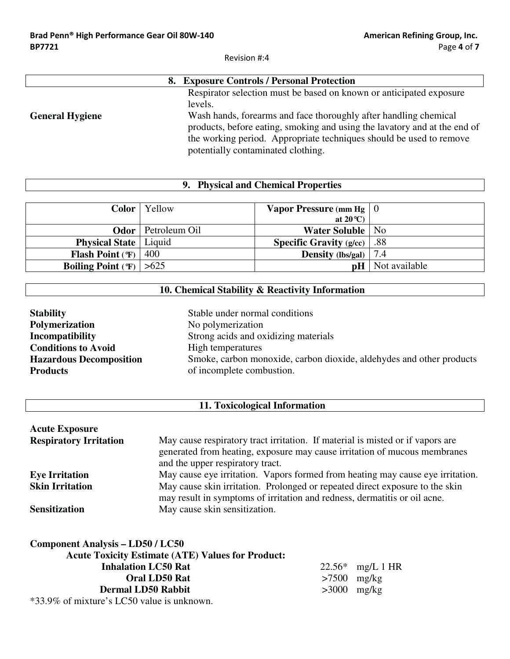|                        | 8. Exposure Controls / Personal Protection                                                                                                                                                                                                                                                                                                   |
|------------------------|----------------------------------------------------------------------------------------------------------------------------------------------------------------------------------------------------------------------------------------------------------------------------------------------------------------------------------------------|
| <b>General Hygiene</b> | Respirator selection must be based on known or anticipated exposure<br>levels.<br>Wash hands, forearms and face thoroughly after handling chemical<br>products, before eating, smoking and using the lavatory and at the end of<br>the working period. Appropriate techniques should be used to remove<br>potentially contaminated clothing. |

# 9. Physical and Chemical Properties

| Color                          | Yellow        | <b>Vapor Pressure</b> (mm Hg $\vert 0 \rangle$ |               |
|--------------------------------|---------------|------------------------------------------------|---------------|
|                                |               | at $20^{\circ}$ C)                             |               |
| Odor                           | Petroleum Oil | <b>Water Soluble</b>                           | No            |
| <b>Physical State</b>   Liquid |               | <b>Specific Gravity (g/cc)</b>                 | .88           |
| <b>Flash Point (T)</b>         | 400           | <b>Density</b> (lbs/gal) $\vert$               | 7.4           |
| <b>Boiling Point (F)</b>       | >625          | pH                                             | Not available |

# 10. Chemical Stability & Reactivity Information

| <b>Stability</b>               | Stable under normal conditions                                       |
|--------------------------------|----------------------------------------------------------------------|
| <b>Polymerization</b>          | No polymerization                                                    |
| Incompatibility                | Strong acids and oxidizing materials                                 |
| <b>Conditions to Avoid</b>     | High temperatures                                                    |
| <b>Hazardous Decomposition</b> | Smoke, carbon monoxide, carbon dioxide, aldehydes and other products |
| <b>Products</b>                | of incomplete combustion.                                            |

# 11. Toxicological Information

| <b>Acute Exposure</b>         |                                                                                                                                                                                                 |
|-------------------------------|-------------------------------------------------------------------------------------------------------------------------------------------------------------------------------------------------|
| <b>Respiratory Irritation</b> | May cause respiratory tract irritation. If material is misted or if vapors are<br>generated from heating, exposure may cause irritation of mucous membranes<br>and the upper respiratory tract. |
| <b>Eye Irritation</b>         | May cause eye irritation. Vapors formed from heating may cause eye irritation.                                                                                                                  |
| <b>Skin Irritation</b>        | May cause skin irritation. Prolonged or repeated direct exposure to the skin<br>may result in symptoms of irritation and redness, dermatitis or oil acne.                                       |
| <b>Sensitization</b>          | May cause skin sensitization.                                                                                                                                                                   |

| <b>Component Analysis – LD50 / LC50</b>                  |                  |
|----------------------------------------------------------|------------------|
| <b>Acute Toxicity Estimate (ATE) Values for Product:</b> |                  |
| <b>Inhalation LC50 Rat</b>                               | 22.56* mg/L 1 HR |
| <b>Oral LD50 Rat</b>                                     | $>7500$ mg/kg    |
| <b>Dermal LD50 Rabbit</b>                                | $>3000$ mg/kg    |
| $*33.9\%$ of mixture's LC50 value is unknown.            |                  |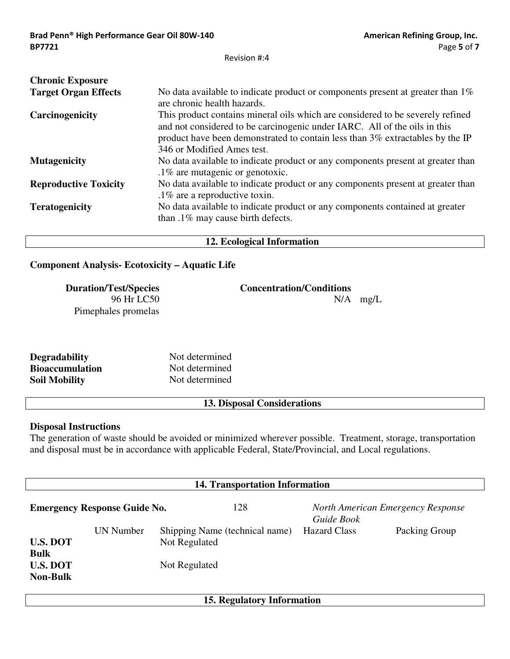| <b>Chronic Exposure</b>      |                                                                                                                                                                                                                                                                            |
|------------------------------|----------------------------------------------------------------------------------------------------------------------------------------------------------------------------------------------------------------------------------------------------------------------------|
| <b>Target Organ Effects</b>  | No data available to indicate product or components present at greater than $1\%$<br>are chronic health hazards.                                                                                                                                                           |
| Carcinogenicity              | This product contains mineral oils which are considered to be severely refined<br>and not considered to be carcinogenic under IARC. All of the oils in this<br>product have been demonstrated to contain less than 3% extractables by the IP<br>346 or Modified Ames test. |
| <b>Mutagenicity</b>          | No data available to indicate product or any components present at greater than<br>.1% are mutagenic or genotoxic.                                                                                                                                                         |
| <b>Reproductive Toxicity</b> | No data available to indicate product or any components present at greater than<br>$.1\%$ are a reproductive toxin.                                                                                                                                                        |
| <b>Teratogenicity</b>        | No data available to indicate product or any components contained at greater<br>than .1% may cause birth defects.                                                                                                                                                          |

# 12. Ecological Information

# **Component Analysis-Ecotoxicity - Aquatic Life**

| <b>Duration/Test/Species</b> | <b>Concentration/Conditions</b> |            |
|------------------------------|---------------------------------|------------|
| 96 Hr LC50                   |                                 | $N/A$ mg/L |
| Pimephales promelas          |                                 |            |

| <b>Degradability</b>   | Not determined |
|------------------------|----------------|
| <b>Bioaccumulation</b> | Not determined |
| <b>Soil Mobility</b>   | Not determined |

## 13. Disposal Considerations

#### **Disposal Instructions**

The generation of waste should be avoided or minimized wherever possible. Treatment, storage, transportation and disposal must be in accordance with applicable Federal, State/Provincial, and Local regulations.

| <b>14. Transportation Information</b> |                  |                                                 |     |                     |                                   |
|---------------------------------------|------------------|-------------------------------------------------|-----|---------------------|-----------------------------------|
| <b>Emergency Response Guide No.</b>   |                  |                                                 | 128 | Guide Book          | North American Emergency Response |
| <b>U.S. DOT</b><br><b>Bulk</b>        | <b>UN Number</b> | Shipping Name (technical name)<br>Not Regulated |     | <b>Hazard Class</b> | Packing Group                     |
| <b>U.S. DOT</b><br><b>Non-Bulk</b>    |                  | Not Regulated                                   |     |                     |                                   |
| 15. Regulatory Information            |                  |                                                 |     |                     |                                   |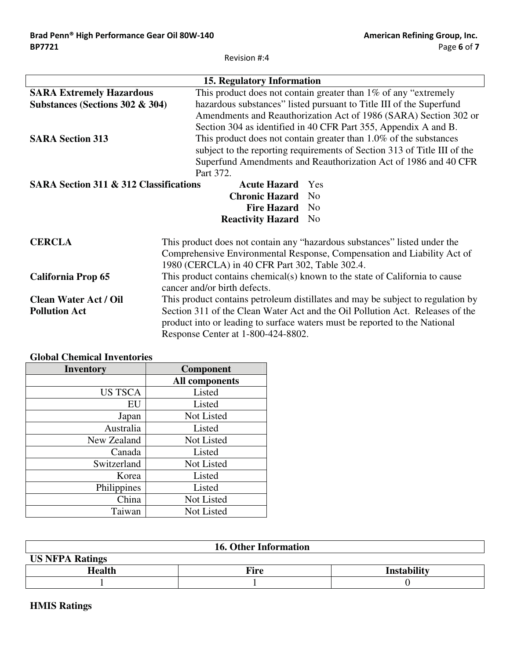| <b>15. Regulatory Information</b>                                                      |                                                                                 |  |
|----------------------------------------------------------------------------------------|---------------------------------------------------------------------------------|--|
| <b>SARA Extremely Hazardous</b>                                                        | This product does not contain greater than $1\%$ of any "extremely"             |  |
| Substances (Sections 302 & 304)                                                        | hazardous substances" listed pursuant to Title III of the Superfund             |  |
|                                                                                        | Amendments and Reauthorization Act of 1986 (SARA) Section 302 or                |  |
|                                                                                        | Section 304 as identified in 40 CFR Part 355, Appendix A and B.                 |  |
| <b>SARA Section 313</b>                                                                | This product does not contain greater than $1.0\%$ of the substances            |  |
|                                                                                        | subject to the reporting requirements of Section 313 of Title III of the        |  |
|                                                                                        | Superfund Amendments and Reauthorization Act of 1986 and 40 CFR                 |  |
|                                                                                        | Part 372.                                                                       |  |
| <b>SARA Section 311 &amp; 312 Classifications</b><br><b>Acute Hazard</b><br><b>Yes</b> |                                                                                 |  |
|                                                                                        | <b>Chronic Hazard</b><br>N <sub>0</sub>                                         |  |
|                                                                                        | <b>Fire Hazard</b><br>No.                                                       |  |
|                                                                                        | <b>Reactivity Hazard</b><br>N <sub>0</sub>                                      |  |
| <b>CERCLA</b>                                                                          | This product does not contain any "hazardous substances" listed under the       |  |
|                                                                                        | Comprehensive Environmental Response, Compensation and Liability Act of         |  |
|                                                                                        | 1980 (CERCLA) in 40 CFR Part 302, Table 302.4.                                  |  |
| <b>California Prop 65</b>                                                              | This product contains chemical(s) known to the state of California to cause     |  |
|                                                                                        | cancer and/or birth defects.                                                    |  |
| <b>Clean Water Act / Oil</b>                                                           | This product contains petroleum distillates and may be subject to regulation by |  |
| <b>Pollution Act</b>                                                                   | Section 311 of the Clean Water Act and the Oil Pollution Act. Releases of the   |  |
|                                                                                        | product into or leading to surface waters must be reported to the National      |  |
|                                                                                        | Response Center at 1-800-424-8802.                                              |  |

# **Global Chemical Inventories**

| Inventory      | Component             |
|----------------|-----------------------|
|                | <b>All components</b> |
| <b>US TSCA</b> | Listed                |
| EU             | Listed                |
| Japan          | Not Listed            |
| Australia      | Listed                |
| New Zealand    | Not Listed            |
| Canada         | Listed                |
| Switzerland    | Not Listed            |
| Korea          | Listed                |
| Philippines    | Listed                |
| China          | Not Listed            |
| Taiwan         | Not Listed            |

| <b>16. Other Information</b> |             |                    |  |  |
|------------------------------|-------------|--------------------|--|--|
| <b>US NFPA Ratings</b>       |             |                    |  |  |
| <b>Health</b>                | <b>Fire</b> | <b>Instability</b> |  |  |
|                              |             |                    |  |  |